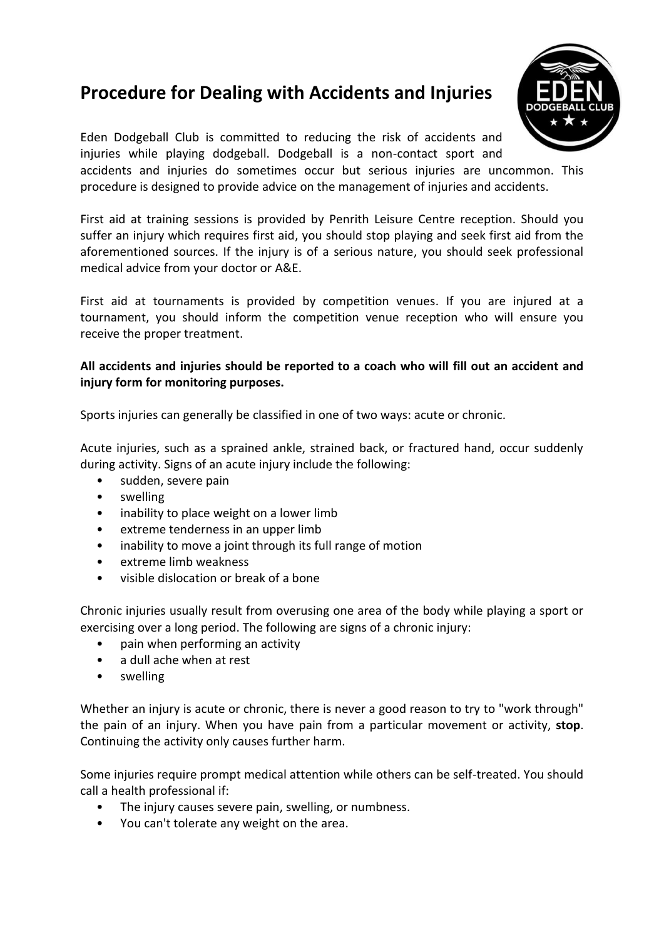# **Procedure for Dealing with Accidents and Injuries**



Eden Dodgeball Club is committed to reducing the risk of accidents and injuries while playing dodgeball. Dodgeball is a non-contact sport and

accidents and injuries do sometimes occur but serious injuries are uncommon. This procedure is designed to provide advice on the management of injuries and accidents.

First aid at training sessions is provided by Penrith Leisure Centre reception. Should you suffer an injury which requires first aid, you should stop playing and seek first aid from the aforementioned sources. If the injury is of a serious nature, you should seek professional medical advice from your doctor or A&E.

First aid at tournaments is provided by competition venues. If you are injured at a tournament, you should inform the competition venue reception who will ensure you receive the proper treatment.

## **All accidents and injuries should be reported to a coach who will fill out an accident and injury form for monitoring purposes.**

Sports injuries can generally be classified in one of two ways: acute or chronic.

Acute injuries, such as a sprained ankle, strained back, or fractured hand, occur suddenly during activity. Signs of an acute injury include the following:

- sudden, severe pain
- swelling
- inability to place weight on a lower limb
- extreme tenderness in an upper limb
- inability to move a joint through its full range of motion
- extreme limb weakness
- visible dislocation or break of a bone

Chronic injuries usually result from overusing one area of the body while playing a sport or exercising over a long period. The following are signs of a chronic injury:

- pain when performing an activity
- a dull ache when at rest
- swelling

Whether an injury is acute or chronic, there is never a good reason to try to "work through" the pain of an injury. When you have pain from a particular movement or activity, **stop**. Continuing the activity only causes further harm.

Some injuries require prompt medical attention while others can be self-treated. You should call a health professional if:

- The injury causes severe pain, swelling, or numbness.
- You can't tolerate any weight on the area.